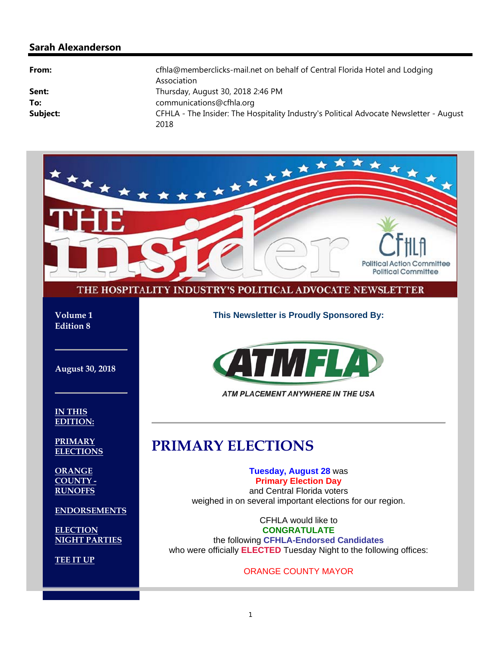#### **Sarah Alexanderson**

| From:    | cfhla@memberclicks-mail.net on behalf of Central Florida Hotel and Lodging<br>Association |
|----------|-------------------------------------------------------------------------------------------|
| Sent:    | Thursday, August 30, 2018 2:46 PM                                                         |
| To:      | communications@cfhla.org                                                                  |
| Subject: | CFHLA - The Insider: The Hospitality Industry's Political Advocate Newsletter - August    |
|          | 2018                                                                                      |

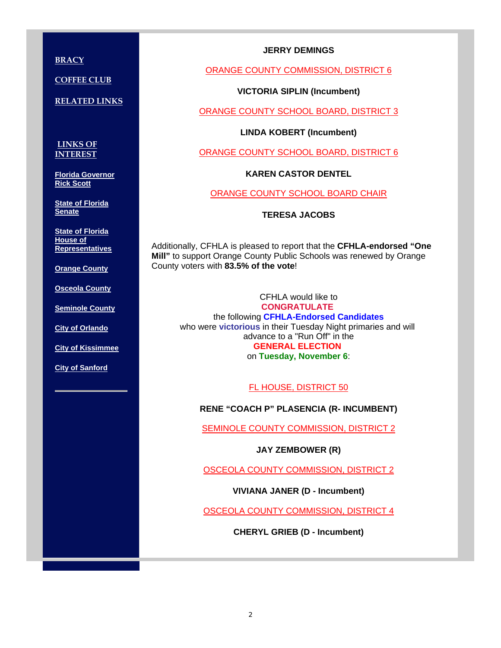**BRACY** 

**COFFEE CLUB**

**RELATED LINKS**

**LINKS OF INTEREST**

**Florida Governor Rick Scott**

**State of Florida Senate**

**State of Florida House of Representatives**

**Orange County**

**Osceola County**

**Seminole County**

**City of Orlando**

**City of Kissimmee**

**City of Sanford**

#### **JERRY DEMINGS**

ORANGE COUNTY COMMISSION, DISTRICT 6

**VICTORIA SIPLIN (Incumbent)** 

ORANGE COUNTY SCHOOL BOARD, DISTRICT 3

**LINDA KOBERT (Incumbent)** 

ORANGE COUNTY SCHOOL BOARD, DISTRICT 6

**KAREN CASTOR DENTEL** 

ORANGE COUNTY SCHOOL BOARD CHAIR

**TERESA JACOBS**

Additionally, CFHLA is pleased to report that the **CFHLA-endorsed "One Mill"** to support Orange County Public Schools was renewed by Orange County voters with **83.5% of the vote**!

CFHLA would like to **CONGRATULATE**  the following **CFHLA-Endorsed Candidates** who were **victorious** in their Tuesday Night primaries and will advance to a "Run Off" in the **GENERAL ELECTION**  on **Tuesday, November 6**:

FL HOUSE, DISTRICT 50

**RENE "COACH P" PLASENCIA (R- INCUMBENT)** 

SEMINOLE COUNTY COMMISSION, DISTRICT 2

**JAY ZEMBOWER (R)** 

OSCEOLA COUNTY COMMISSION, DISTRICT 2

**VIVIANA JANER (D - Incumbent)** 

OSCEOLA COUNTY COMMISSION, DISTRICT 4

**CHERYL GRIEB (D - Incumbent)**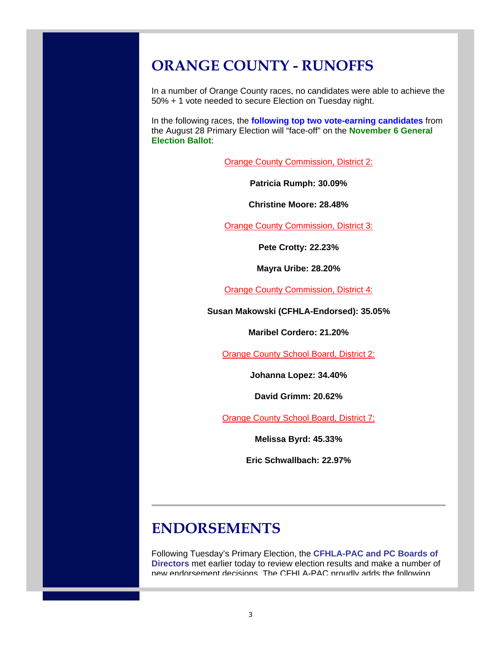### **ORANGE COUNTY - RUNOFFS**

In a number of Orange County races, no candidates were able to achieve the 50% + 1 vote needed to secure Election on Tuesday night.

In the following races, the **following top two vote-earning candidates** from the August 28 Primary Election will "face-off" on the **November 6 General Election Ballot**:

**Orange County Commission, District 2:** 

**Patricia Rumph: 30.09%**

**Christine Moore: 28.48%**

Orange County Commission, District 3:

**Pete Crotty: 22.23%**

**Mayra Uribe: 28.20%**

Orange County Commission, District 4:

**Susan Makowski (CFHLA-Endorsed): 35.05%**

**Maribel Cordero: 21.20%**

**Orange County School Board, District 2:** 

**Johanna Lopez: 34.40%**

**David Grimm: 20.62%**

**Orange County School Board, District 7:** 

**Melissa Byrd: 45.33%**

**Eric Schwallbach: 22.97%**

### **ENDORSEMENTS**

Following Tuesday's Primary Election, the **CFHLA-PAC and PC Boards of Directors** met earlier today to review election results and make a number of new endorsement decisions. The CFHLA-PAC proudly adds the following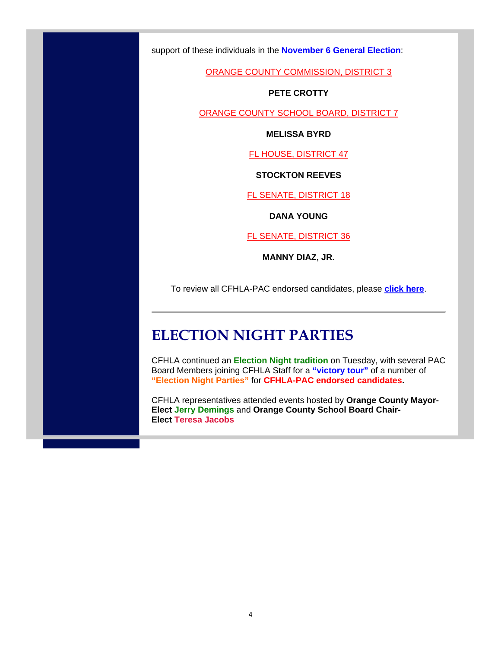support of these individuals in the **November 6 General Election**:

ORANGE COUNTY COMMISSION, DISTRICT 3

#### **PETE CROTTY**

ORANGE COUNTY SCHOOL BOARD, DISTRICT 7

**MELISSA BYRD**

FL HOUSE, DISTRICT 47

**STOCKTON REEVES**

FL SENATE, DISTRICT 18

**DANA YOUNG**

FL SENATE, DISTRICT 36

**MANNY DIAZ, JR.**

To review all CFHLA-PAC endorsed candidates, please **click here**.

#### **ELECTION NIGHT PARTIES**

CFHLA continued an **Election Night tradition** on Tuesday, with several PAC Board Members joining CFHLA Staff for a **"victory tour"** of a number of **"Election Night Parties"** for **CFHLA-PAC endorsed candidates.**

CFHLA representatives attended events hosted by **Orange County Mayor-Elect Jerry Demings** and **Orange County School Board Chair-Elect Teresa Jacobs**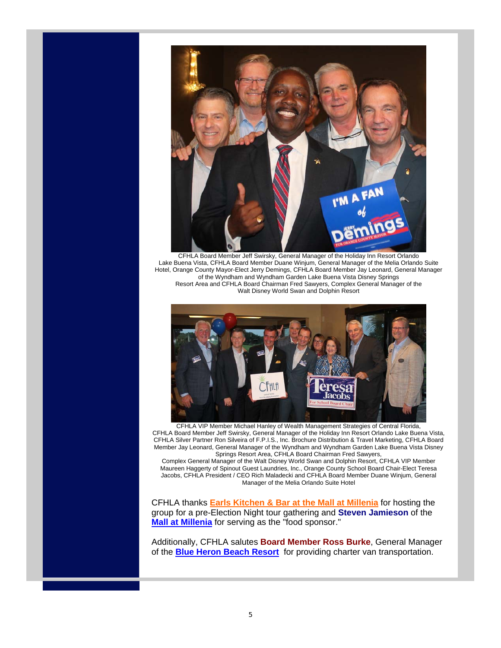

CFHLA Board Member Jeff Swirsky, General Manager of the Holiday Inn Resort Orlando Lake Buena Vista, CFHLA Board Member Duane Winjum, General Manager of the Melia Orlando Suite Hotel, Orange County Mayor-Elect Jerry Demings, CFHLA Board Member Jay Leonard, General Manager of the Wyndham and Wyndham Garden Lake Buena Vista Disney Springs Resort Area and CFHLA Board Chairman Fred Sawyers, Complex General Manager of the Walt Disney World Swan and Dolphin Resort



CFHLA VIP Member Michael Hanley of Wealth Management Strategies of Central Florida, CFHLA Board Member Jeff Swirsky, General Manager of the Holiday Inn Resort Orlando Lake Buena Vista, CFHLA Silver Partner Ron Silveira of F.P.I.S., Inc. Brochure Distribution & Travel Marketing, CFHLA Board Member Jay Leonard, General Manager of the Wyndham and Wyndham Garden Lake Buena Vista Disney Springs Resort Area, CFHLA Board Chairman Fred Sawyers,

Complex General Manager of the Walt Disney World Swan and Dolphin Resort, CFHLA VIP Member Maureen Haggerty of Spinout Guest Laundries, Inc., Orange County School Board Chair-Elect Teresa Jacobs, CFHLA President / CEO Rich Maladecki and CFHLA Board Member Duane Winjum, General Manager of the Melia Orlando Suite Hotel

CFHLA thanks **Earls Kitchen & Bar at the Mall at Millenia** for hosting the group for a pre-Election Night tour gathering and **Steven Jamieson** of the **Mall at Millenia** for serving as the "food sponsor."

Additionally, CFHLA salutes **Board Member Ross Burke**, General Manager of the **Blue Heron Beach Resort** for providing charter van transportation.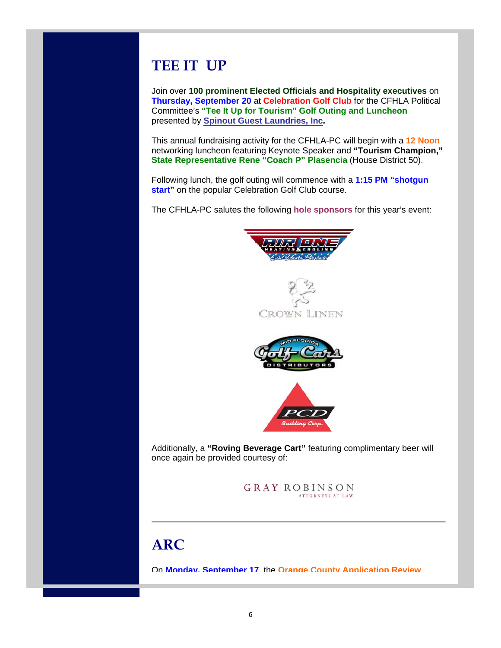## **TEE IT UP**

Join over **100 prominent Elected Officials and Hospitality executives** on **Thursday, September 20** at **Celebration Golf Club** for the CFHLA Political Committee's **"Tee It Up for Tourism" Golf Outing and Luncheon** presented by **Spinout Guest Laundries, Inc.**

This annual fundraising activity for the CFHLA-PC will begin with a **12 Noon** networking luncheon featuring Keynote Speaker and **"Tourism Champion," State Representative Rene "Coach P" Plasencia** (House District 50).

Following lunch, the golf outing will commence with a **1:15 PM "shotgun start**" on the popular Celebration Golf Club course.

The CFHLA-PC salutes the following **hole sponsors** for this year's event:









Additionally, a **"Roving Beverage Cart"** featuring complimentary beer will once again be provided courtesy of:

> **GRAY ROBINSON ATTORNEYS AT LAW**

# **ARC**

On **Monday, September 17**, the **Orange County Application Review**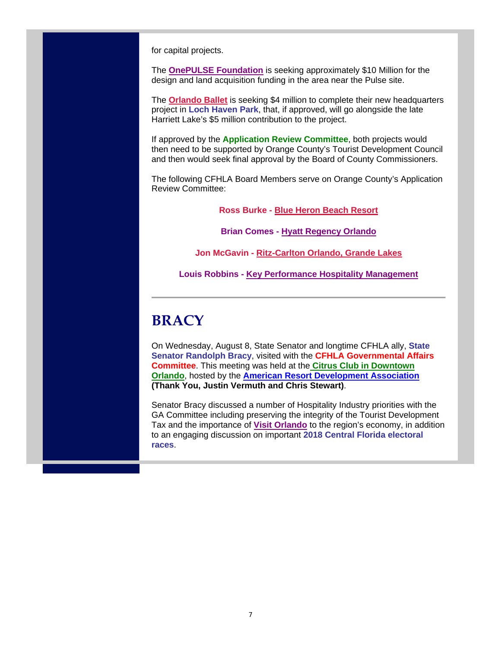for capital projects.

The **OnePULSE Foundation** is seeking approximately \$10 Million for the design and land acquisition funding in the area near the Pulse site.

The **Orlando Ballet** is seeking \$4 million to complete their new headquarters project in **Loch Haven Park**, that, if approved, will go alongside the late Harriett Lake's \$5 million contribution to the project.

If approved by the **Application Review Committee**, both projects would then need to be supported by Orange County's Tourist Development Council and then would seek final approval by the Board of County Commissioners.

The following CFHLA Board Members serve on Orange County's Application Review Committee:

**Ross Burke - Blue Heron Beach Resort**

**Brian Comes - Hyatt Regency Orlando**

**Jon McGavin - Ritz-Carlton Orlando, Grande Lakes**

**Louis Robbins - Key Performance Hospitality Management**

# **BRACY**

On Wednesday, August 8, State Senator and longtime CFHLA ally, **State Senator Randolph Bracy**, visited with the **CFHLA Governmental Affairs Committee**. This meeting was held at the **Citrus Club in Downtown Orlando**, hosted by the **American Resort Development Association (Thank You, Justin Vermuth and Chris Stewart)**.

Senator Bracy discussed a number of Hospitality Industry priorities with the GA Committee including preserving the integrity of the Tourist Development Tax and the importance of **Visit Orlando** to the region's economy, in addition to an engaging discussion on important **2018 Central Florida electoral races**.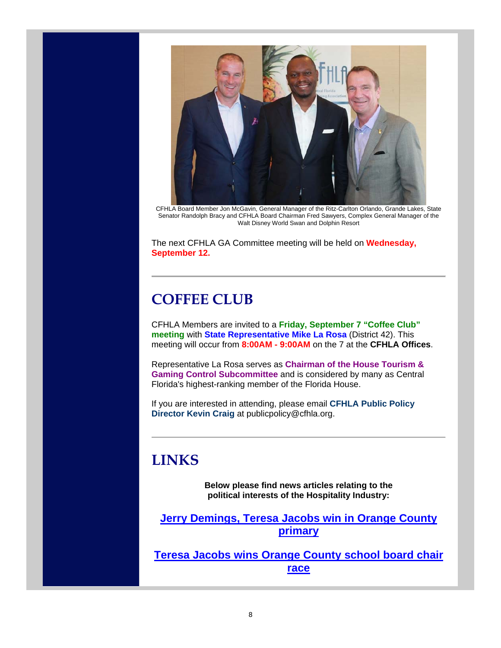

CFHLA Board Member Jon McGavin, General Manager of the Ritz-Carlton Orlando, Grande Lakes, State Senator Randolph Bracy and CFHLA Board Chairman Fred Sawyers, Complex General Manager of the Walt Disney World Swan and Dolphin Resort

The next CFHLA GA Committee meeting will be held on **Wednesday, September 12.**

## **COFFEE CLUB**

CFHLA Members are invited to a **Friday, September 7 "Coffee Club" meeting** with **State Representative Mike La Rosa** (District 42). This meeting will occur from **8:00AM - 9:00AM** on the 7 at the **CFHLA Offices**.

Representative La Rosa serves as **Chairman of the House Tourism & Gaming Control Subcommittee** and is considered by many as Central Florida's highest-ranking member of the Florida House.

If you are interested in attending, please email **CFHLA Public Policy Director Kevin Craig** at publicpolicy@cfhla.org.

#### **LINKS**

**Below please find news articles relating to the political interests of the Hospitality Industry:**

**Jerry Demings, Teresa Jacobs win in Orange County primary**

**Teresa Jacobs wins Orange County school board chair race**